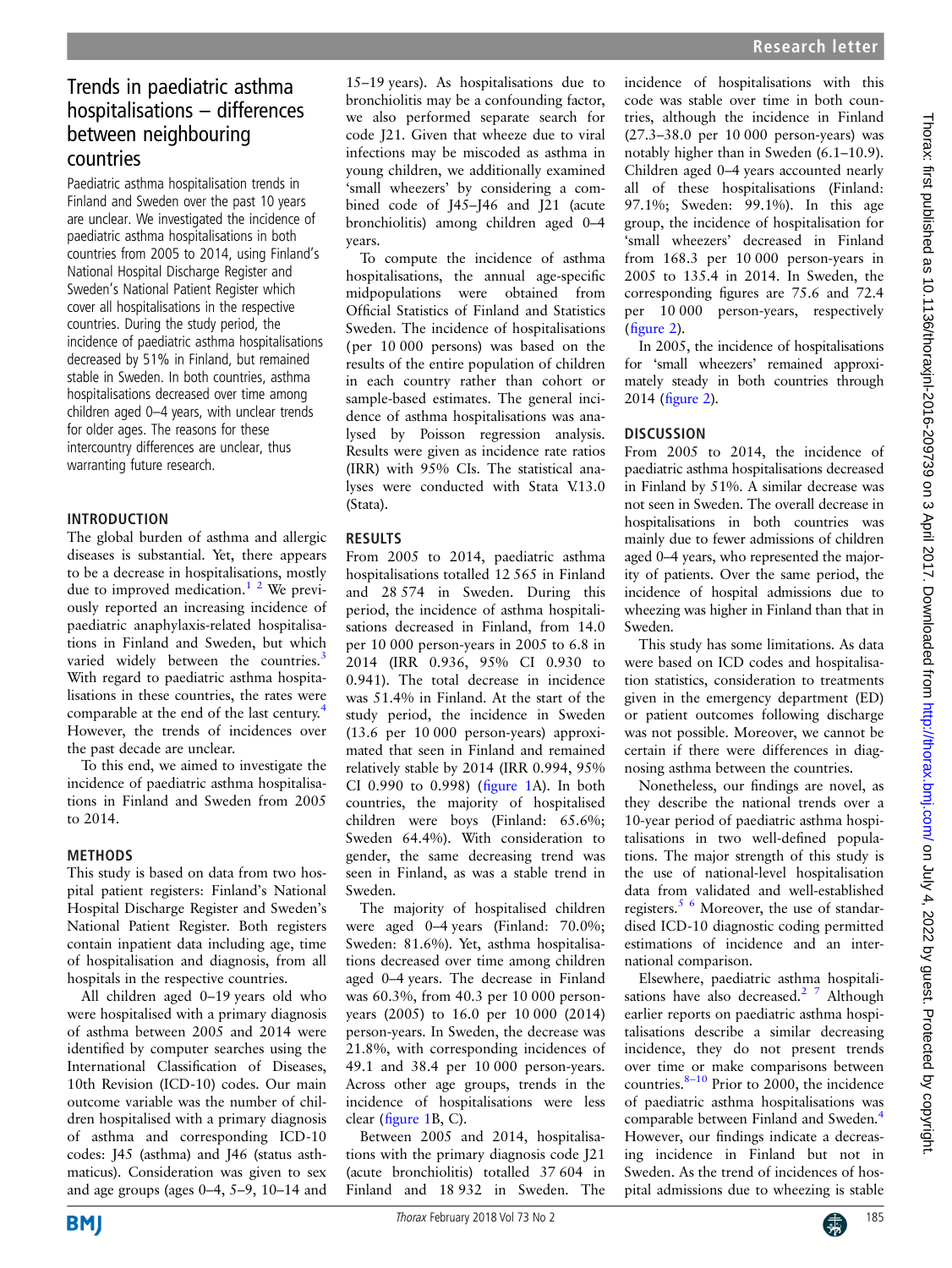# Trends in paediatric asthma hospitalisations – differences between neighbouring countries

Paediatric asthma hospitalisation trends in Finland and Sweden over the past 10 years are unclear. We investigated the incidence of paediatric asthma hospitalisations in both countries from 2005 to 2014, using Finland's National Hospital Discharge Register and Sweden's National Patient Register which cover all hospitalisations in the respective countries. During the study period, the incidence of paediatric asthma hospitalisations decreased by 51% in Finland, but remained stable in Sweden. In both countries, asthma hospitalisations decreased over time among children aged 0–4 years, with unclear trends for older ages. The reasons for these intercountry differences are unclear, thus warranting future research.

### INTRODUCTION

The global burden of asthma and allergic diseases is substantial. Yet, there appears to be a decrease in hospitalisations, mostly due to improved medication.<sup>1</sup> <sup>2</sup> We previously reported an increasing incidence of paediatric anaphylaxis-related hospitalisations in Finland and Sweden, but which varied widely between the countries.<sup>[3](#page-2-0)</sup> With regard to paediatric asthma hospitalisations in these countries, the rates were comparable at the end of the last century.<sup>[4](#page-2-0)</sup> However, the trends of incidences over the past decade are unclear.

To this end, we aimed to investigate the incidence of paediatric asthma hospitalisations in Finland and Sweden from 2005 to 2014.

#### METHODS

This study is based on data from two hospital patient registers: Finland's National Hospital Discharge Register and Sweden's National Patient Register. Both registers contain inpatient data including age, time of hospitalisation and diagnosis, from all hospitals in the respective countries.

All children aged 0–19 years old who were hospitalised with a primary diagnosis of asthma between 2005 and 2014 were identified by computer searches using the International Classification of Diseases, 10th Revision (ICD-10) codes. Our main outcome variable was the number of children hospitalised with a primary diagnosis of asthma and corresponding ICD-10 codes: J45 (asthma) and J46 (status asthmaticus). Consideration was given to sex and age groups (ages 0–4, 5–9, 10–14 and

15–19 years). As hospitalisations due to bronchiolitis may be a confounding factor, we also performed separate search for code J21. Given that wheeze due to viral infections may be miscoded as asthma in young children, we additionally examined 'small wheezers' by considering a combined code of J45–J46 and J21 (acute bronchiolitis) among children aged 0–4 years.

To compute the incidence of asthma hospitalisations, the annual age-specific midpopulations were obtained from Official Statistics of Finland and Statistics Sweden. The incidence of hospitalisations (per 10 000 persons) was based on the results of the entire population of children in each country rather than cohort or sample-based estimates. The general incidence of asthma hospitalisations was analysed by Poisson regression analysis. Results were given as incidence rate ratios (IRR) with 95% CIs. The statistical analyses were conducted with Stata V.13.0 (Stata).

# RESULTS

From 2005 to 2014, paediatric asthma hospitalisations totalled 12 565 in Finland and 28 574 in Sweden. During this period, the incidence of asthma hospitalisations decreased in Finland, from 14.0 per 10 000 person-years in 2005 to 6.8 in 2014 (IRR 0.936, 95% CI 0.930 to 0.941). The total decrease in incidence was 51.4% in Finland. At the start of the study period, the incidence in Sweden (13.6 per 10 000 person-years) approximated that seen in Finland and remained relatively stable by 2014 (IRR 0.994, 95% CI 0.990 to 0.998) (fi[gure 1](#page-1-0)A). In both countries, the majority of hospitalised children were boys (Finland: 65.6%; Sweden 64.4%). With consideration to gender, the same decreasing trend was seen in Finland, as was a stable trend in Sweden.

The majority of hospitalised children were aged 0–4 years (Finland: 70.0%; Sweden: 81.6%). Yet, asthma hospitalisations decreased over time among children aged 0–4 years. The decrease in Finland was 60.3%, from 40.3 per 10 000 personyears (2005) to 16.0 per 10 000 (2014) person-years. In Sweden, the decrease was 21.8%, with corresponding incidences of 49.1 and 38.4 per 10 000 person-years. Across other age groups, trends in the incidence of hospitalisations were less clear (fi[gure 1](#page-1-0)B, C).

Between 2005 and 2014, hospitalisations with the primary diagnosis code J21 (acute bronchiolitis) totalled 37 604 in Finland and 18 932 in Sweden. The incidence of hospitalisations with this code was stable over time in both countries, although the incidence in Finland (27.3–38.0 per 10 000 person-years) was notably higher than in Sweden (6.1–10.9). Children aged 0–4 years accounted nearly all of these hospitalisations (Finland: 97.1%; Sweden: 99.1%). In this age group, the incidence of hospitalisation for 'small wheezers' decreased in Finland from 168.3 per 10 000 person-years in 2005 to 135.4 in 2014. In Sweden, the corresponding figures are 75.6 and 72.4 per 10 000 person-years, respectively (fi[gure 2\)](#page-2-0).

In 2005, the incidence of hospitalisations for 'small wheezers' remained approximately steady in both countries through 2014 (fi[gure 2\)](#page-2-0).

# **DISCUSSION**

From 2005 to 2014, the incidence of paediatric asthma hospitalisations decreased in Finland by 51%. A similar decrease was not seen in Sweden. The overall decrease in hospitalisations in both countries was mainly due to fewer admissions of children aged 0–4 years, who represented the majority of patients. Over the same period, the incidence of hospital admissions due to wheezing was higher in Finland than that in Sweden.

This study has some limitations. As data were based on ICD codes and hospitalisation statistics, consideration to treatments given in the emergency department (ED) or patient outcomes following discharge was not possible. Moreover, we cannot be certain if there were differences in diagnosing asthma between the countries.

Nonetheless, our findings are novel, as they describe the national trends over a 10-year period of paediatric asthma hospitalisations in two well-defined populations. The major strength of this study is the use of national-level hospitalisation data from validated and well-established registers.<sup>[5 6](#page-2-0)</sup> Moreover, the use of standardised ICD-10 diagnostic coding permitted estimations of incidence and an international comparison.

Elsewhere, paediatric asthma hospitalisations have also decreased.<sup>2</sup> <sup>7</sup> Although earlier reports on paediatric asthma hospitalisations describe a similar decreasing incidence, they do not present trends over time or make comparisons between countries. $8-10$  $8-10$  Prior to 2000, the incidence of paediatric asthma hospitalisations was comparable between Finland and Sweden.[4](#page-2-0) However, our findings indicate a decreasing incidence in Finland but not in Sweden. As the trend of incidences of hospital admissions due to wheezing is stable

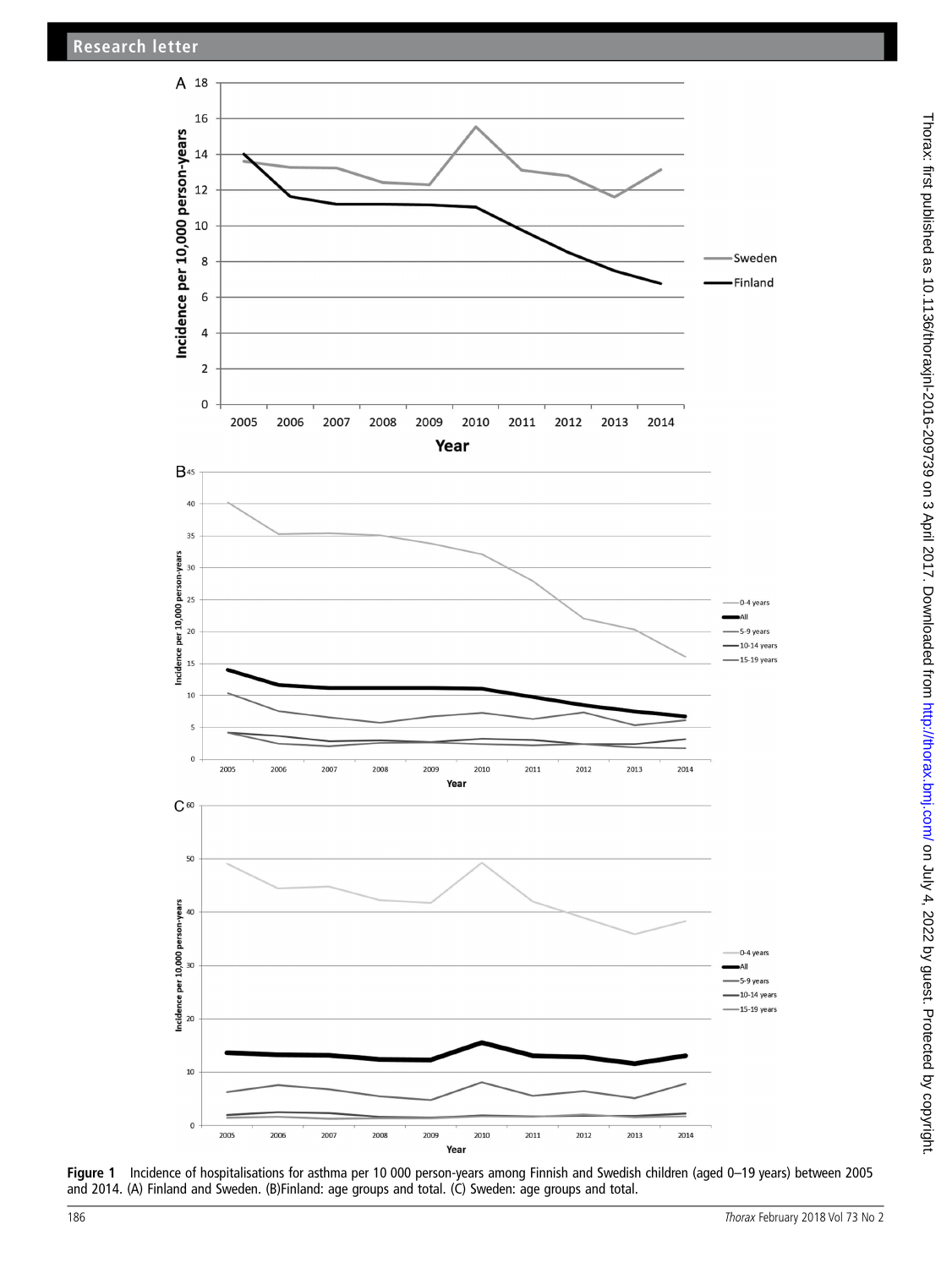<span id="page-1-0"></span>

Figure 1 Incidence of hospitalisations for asthma per 10 000 person-years among Finnish and Swedish children (aged 0–19 years) between 2005 and 2014. (A) Finland and Sweden. (B)Finland: age groups and total. (C) Sweden: age groups and total.